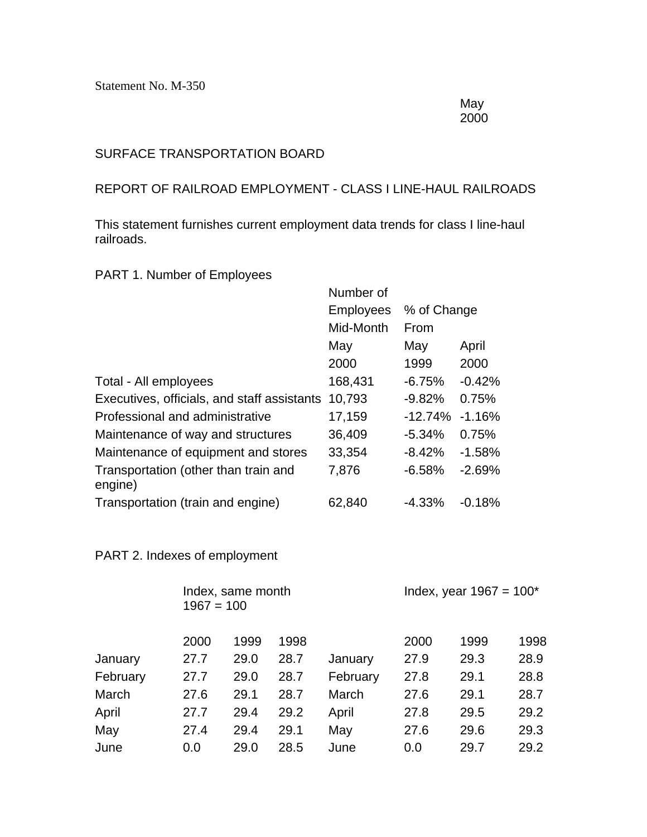Statement No. M-350

May 2000

## SURFACE TRANSPORTATION BOARD

## REPORT OF RAILROAD EMPLOYMENT - CLASS I LINE-HAUL RAILROADS

This statement furnishes current employment data trends for class I line-haul railroads.

## PART 1. Number of Employees

|                                                 | Number of        |                    |          |
|-------------------------------------------------|------------------|--------------------|----------|
|                                                 | <b>Employees</b> | % of Change        |          |
|                                                 | Mid-Month        | From               |          |
|                                                 | May              | May                | April    |
|                                                 | 2000             | 1999               | 2000     |
| Total - All employees                           | 168,431          | $-6.75%$           | $-0.42%$ |
| Executives, officials, and staff assistants     | 10,793           | $-9.82%$           | 0.75%    |
| Professional and administrative                 | 17,159           | $-12.74\% -1.16\%$ |          |
| Maintenance of way and structures               | 36,409           | $-5.34%$           | 0.75%    |
| Maintenance of equipment and stores             | 33,354           | $-8.42%$           | $-1.58%$ |
| Transportation (other than train and<br>engine) | 7,876            | $-6.58%$           | $-2.69%$ |
| Transportation (train and engine)               | 62,840           | $-4.33\%$          | $-0.18%$ |

## PART 2. Indexes of employment

|          | Index, same month<br>$1967 = 100$ |      |      |          | Index, year $1967 = 100^*$ |      |      |
|----------|-----------------------------------|------|------|----------|----------------------------|------|------|
|          | 2000                              | 1999 | 1998 |          | 2000                       | 1999 | 1998 |
| January  | 27.7                              | 29.0 | 28.7 | January  | 27.9                       | 29.3 | 28.9 |
| February | 27.7                              | 29.0 | 28.7 | February | 27.8                       | 29.1 | 28.8 |
| March    | 27.6                              | 29.1 | 28.7 | March    | 27.6                       | 29.1 | 28.7 |
| April    | 27.7                              | 29.4 | 29.2 | April    | 27.8                       | 29.5 | 29.2 |
| May      | 27.4                              | 29.4 | 29.1 | May      | 27.6                       | 29.6 | 29.3 |
| June     | 0.0                               | 29.0 | 28.5 | June     | 0.0                        | 29.7 | 29.2 |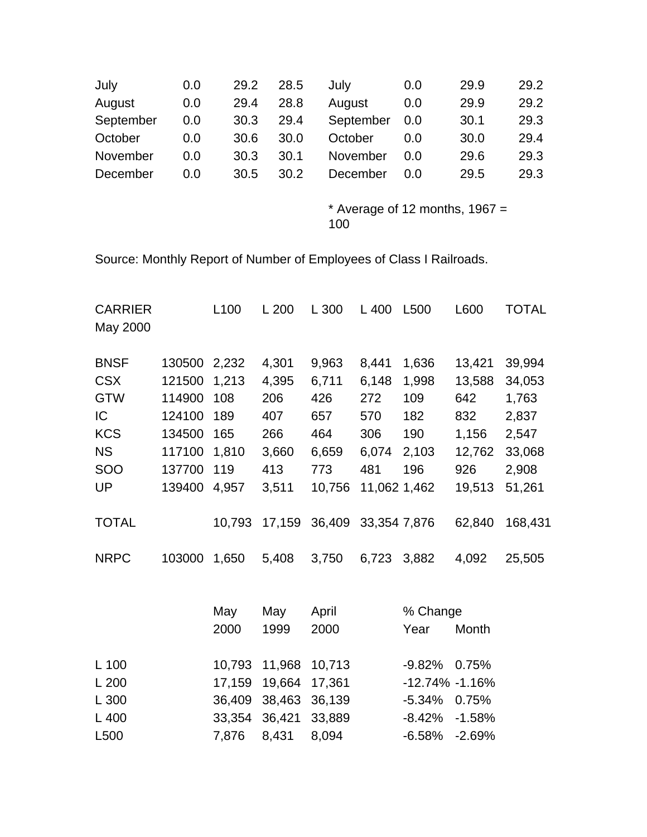| July      | 0.0 | 29.2 | 28.5 | July      | 0.0 | 29.9 | 29.2 |
|-----------|-----|------|------|-----------|-----|------|------|
| August    | 0.0 | 29.4 | 28.8 | August    | 0.0 | 29.9 | 29.2 |
| September | 0.0 | 30.3 | 29.4 | September | 0.0 | 30.1 | 29.3 |
| October   | 0.0 | 30.6 | 30.0 | October   | 0.0 | 30.0 | 29.4 |
| November  | 0.0 | 30.3 | 30.1 | November  | 0.0 | 29.6 | 29.3 |
| December  | 0.0 | 30.5 | 30.2 | December  | 0.0 | 29.5 | 29.3 |

\* Average of 12 months,  $1967 =$ 100

Source: Monthly Report of Number of Employees of Class I Railroads.

| <b>CARRIER</b><br>May 2000 |        | L100   | L 200  | L 300  | L 400        | L500               | L600     | <b>TOTAL</b> |
|----------------------------|--------|--------|--------|--------|--------------|--------------------|----------|--------------|
| <b>BNSF</b>                | 130500 | 2,232  | 4,301  | 9,963  | 8,441        | 1,636              | 13,421   | 39,994       |
| <b>CSX</b>                 | 121500 | 1,213  | 4,395  | 6,711  | 6,148        | 1,998              | 13,588   | 34,053       |
| <b>GTW</b>                 | 114900 | 108    | 206    | 426    | 272          | 109                | 642      | 1,763        |
| IC                         | 124100 | 189    | 407    | 657    | 570          | 182                | 832      | 2,837        |
| <b>KCS</b>                 | 134500 | 165    | 266    | 464    | 306          | 190                | 1,156    | 2,547        |
| <b>NS</b>                  | 117100 | 1,810  | 3,660  | 6,659  | 6,074        | 2,103              | 12,762   | 33,068       |
| SOO                        | 137700 | 119    | 413    | 773    | 481          | 196                | 926      | 2,908        |
| UP                         | 139400 | 4,957  | 3,511  | 10,756 | 11,062 1,462 |                    | 19,513   | 51,261       |
| <b>TOTAL</b>               |        | 10,793 | 17,159 | 36,409 | 33,354 7,876 |                    | 62,840   | 168,431      |
| <b>NRPC</b>                | 103000 | 1,650  | 5,408  | 3,750  | 6,723        | 3,882              | 4,092    | 25,505       |
|                            |        | May    | May    | April  |              | % Change           |          |              |
|                            |        | 2000   | 1999   | 2000   |              | Year               | Month    |              |
| L 100                      |        | 10,793 | 11,968 | 10,713 |              | $-9.82%$           | 0.75%    |              |
| L200                       |        | 17,159 | 19,664 | 17,361 |              | $-12.74\% -1.16\%$ |          |              |
| L 300                      |        | 36,409 | 38,463 | 36,139 |              | $-5.34%$           | 0.75%    |              |
| L 400                      |        | 33,354 | 36,421 | 33,889 |              | $-8.42%$           | $-1.58%$ |              |
| L500                       |        | 7,876  | 8,431  | 8,094  |              | $-6.58%$           | $-2.69%$ |              |